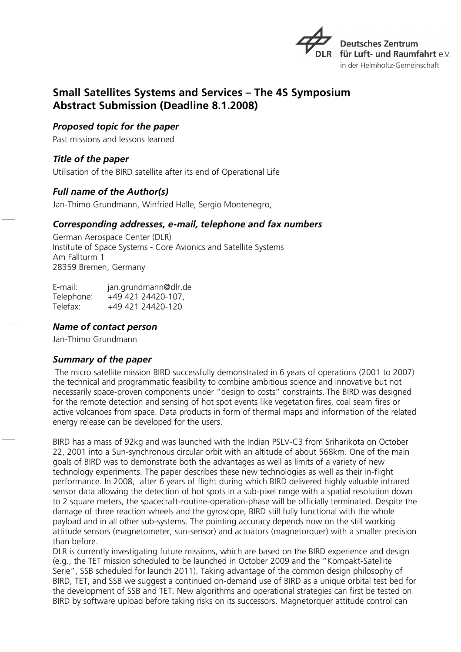

# **Small Satellites Systems and Services – The 4S Symposium Abstract Submission (Deadline 8.1.2008)**

*Proposed topic for the paper*

Past missions and lessons learned

*Title of the paper* Utilisation of the BIRD satellite after its end of Operational Life

# *Full name of the Author(s)*

Jan-Thimo Grundmann, Winfried Halle, Sergio Montenegro,

### *Corresponding addresses, e-mail, telephone and fax numbers*

German Aerospace Center (DLR) Institute of Space Systems - Core Avionics and Satellite Systems Am Fallturm 1 28359 Bremen, Germany

| E-mail:    | jan.grundmann@dlr.de |
|------------|----------------------|
| Telephone: | +49 421 24420-107,   |
| Telefax:   | +49 421 24420-120    |

#### *Name of contact person*

Jan-Thimo Grundmann

# *Summary of the paper*

The micro satellite mission BIRD successfully demonstrated in 6 years of operations (2001 to 2007) the technical and programmatic feasibility to combine ambitious science and innovative but not necessarily space-proven components under "design to costs" constraints. The BIRD was designed for the remote detection and sensing of hot spot events like vegetation fires, coal seam fires or active volcanoes from space. Data products in form of thermal maps and information of the related energy release can be developed for the users.

BIRD has a mass of 92kg and was launched with the Indian PSLV-C3 from Sriharikota on October 22, 2001 into a Sun-synchronous circular orbit with an altitude of about 568km. One of the main goals of BIRD was to demonstrate both the advantages as well as limits of a variety of new technology experiments. The paper describes these new technologies as well as their in-flight performance. In 2008, after 6 years of flight during which BIRD delivered highly valuable infrared sensor data allowing the detection of hot spots in a sub-pixel range with a spatial resolution down to 2 square meters, the spacecraft-routine-operation-phase will be officially terminated. Despite the damage of three reaction wheels and the gyroscope, BIRD still fully functional with the whole payload and in all other sub-systems. The pointing accuracy depends now on the still working attitude sensors (magnetometer, sun-sensor) and actuators (magnetorquer) with a smaller precision than before.

DLR is currently investigating future missions, which are based on the BIRD experience and design (e.g., the TET mission scheduled to be launched in October 2009 and the "Kompakt-Satellite Serie", SSB scheduled for launch 2011). Taking advantage of the common design philosophy of BIRD, TET, and SSB we suggest a continued on-demand use of BIRD as a unique orbital test bed for the development of SSB and TET. New algorithms and operational strategies can first be tested on BIRD by software upload before taking risks on its successors. Magnetorquer attitude control can